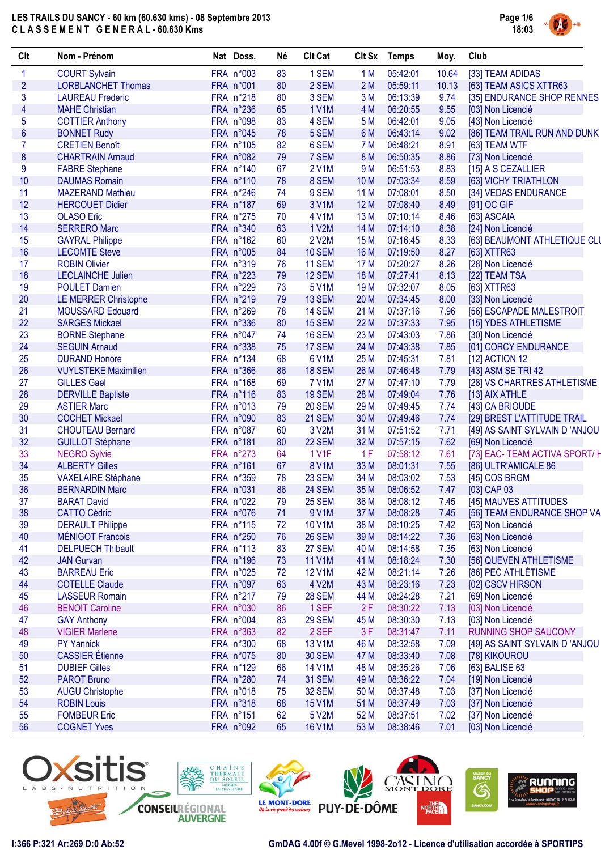

| Clt                      | Nom - Prénom                | Nat Doss. | Né | <b>Clt Cat</b> | Clt Sx          | <b>Temps</b> | Moy.  | Club                           |
|--------------------------|-----------------------------|-----------|----|----------------|-----------------|--------------|-------|--------------------------------|
| $\mathbf{1}$             | <b>COURT Sylvain</b>        | FRA n°003 | 83 | 1 SEM          | 1 <sub>M</sub>  | 05:42:01     | 10.64 | [33] TEAM ADIDAS               |
| $\overline{2}$           | <b>LORBLANCHET Thomas</b>   | FRA n°001 | 80 | 2 SEM          | 2M              | 05:59:11     | 10.13 | [63] TEAM ASICS XTTR63         |
| 3                        | <b>LAUREAU Frederic</b>     | FRA n°218 | 80 | 3 SEM          | 3M              | 06:13:39     | 9.74  | [35] ENDURANCE SHOP RENNES     |
| $\overline{\mathcal{A}}$ | <b>MAHE Christian</b>       | FRA n°236 | 65 | <b>1 V1M</b>   | 4 M             | 06:20:55     | 9.55  | [03] Non Licencié              |
| $\overline{5}$           | <b>COTTIER Anthony</b>      | FRA n°098 | 83 | 4 SEM          | 5 M             | 06:42:01     | 9.05  | [43] Non Licencié              |
| $6\phantom{a}$           | <b>BONNET Rudy</b>          | FRA n°045 | 78 | 5 SEM          | 6 M             | 06:43:14     | 9.02  | [86] TEAM TRAIL RUN AND DUNK   |
| $\overline{7}$           | <b>CRETIEN Benoît</b>       | FRA n°105 | 82 | 6 SEM          | 7 M             | 06:48:21     | 8.91  | [63] TEAM WTF                  |
| $\boldsymbol{8}$         | <b>CHARTRAIN Arnaud</b>     | FRA n°082 | 79 | 7 SEM          | 8 M             | 06:50:35     | 8.86  | [73] Non Licencié              |
| $\boldsymbol{9}$         | <b>FABRE Stephane</b>       | FRA n°140 | 67 | 2 V1M          | 9 M             | 06:51:53     | 8.83  | [15] A S CEZALLIER             |
| 10                       | <b>DAUMAS Romain</b>        | FRA n°110 | 78 | 8 SEM          | 10 <sub>M</sub> | 07:03:34     | 8.59  | [63] VICHY TRIATHLON           |
| 11                       | <b>MAZERAND Mathieu</b>     | FRA n°246 | 74 | 9 SEM          | 11 M            | 07:08:01     | 8.50  | [34] VEDAS ENDURANCE           |
| 12                       | <b>HERCOUET Didier</b>      | FRA n°187 | 69 | 3 V1M          | 12 M            | 07:08:40     | 8.49  | [91] OC GIF                    |
| 13                       | <b>OLASO Eric</b>           | FRA n°275 | 70 | 4 V1M          | 13 M            | 07:10:14     | 8.46  | [63] ASCAIA                    |
| 14                       | <b>SERRERO Marc</b>         | FRA n°340 | 63 | 1 V2M          | 14 M            | 07:14:10     | 8.38  | [24] Non Licencié              |
| 15                       | <b>GAYRAL Philippe</b>      | FRA n°162 | 60 | 2 V2M          | 15 M            | 07:16:45     | 8.33  | [63] BEAUMONT ATHLETIQUE CLU   |
| 16                       | <b>LECOMTE Steve</b>        | FRA n°005 | 84 | <b>10 SEM</b>  | 16 M            | 07:19:50     | 8.27  | [63] XTTR63                    |
| 17                       | <b>ROBIN Olivier</b>        | FRA n°319 | 76 | <b>11 SEM</b>  | 17 M            | 07:20:27     | 8.26  | [28] Non Licencié              |
| 18                       | <b>LECLAINCHE Julien</b>    | FRA n°223 | 79 | 12 SEM         | 18 M            | 07:27:41     | 8.13  | [22] TEAM TSA                  |
| 19                       | <b>POULET Damien</b>        | FRA n°229 | 73 | 5 V1M          | 19 <sub>M</sub> | 07:32:07     | 8.05  | [63] XTTR63                    |
| 20                       | <b>LE MERRER Christophe</b> | FRA n°219 | 79 | 13 SEM         | 20 M            | 07:34:45     | 8.00  | [33] Non Licencié              |
| 21                       | <b>MOUSSARD Edouard</b>     | FRA n°269 | 78 | 14 SEM         | 21 M            | 07:37:16     | 7.96  | [56] ESCAPADE MALESTROIT       |
| 22                       | <b>SARGES Mickael</b>       | FRA n°336 | 80 | 15 SEM         | 22 M            | 07:37:33     | 7.95  | [15] YDES ATHLETISME           |
| 23                       | <b>BORNE Stephane</b>       | FRA n°047 | 74 | 16 SEM         | 23 M            | 07:43:03     | 7.86  | [30] Non Licencié              |
| 24                       | <b>SEGUIN Arnaud</b>        | FRA n°338 | 75 | 17 SEM         | 24 M            | 07:43:38     | 7.85  | [01] CORCY ENDURANCE           |
| 25                       | <b>DURAND Honore</b>        | FRA n°134 | 68 | 6 V1M          | 25 M            | 07:45:31     | 7.81  | [12] ACTION 12                 |
| 26                       | <b>VUYLSTEKE Maximilien</b> | FRA n°366 | 86 | <b>18 SEM</b>  | 26 M            | 07:46:48     | 7.79  | [43] ASM SE TRI 42             |
| 27                       | <b>GILLES Gael</b>          | FRA n°168 | 69 | <b>7 V1M</b>   | 27 M            | 07:47:10     | 7.79  | [28] VS CHARTRES ATHLETISME    |
| 28                       | <b>DERVILLE Baptiste</b>    | FRA n°116 | 83 | <b>19 SEM</b>  | 28 M            | 07:49:04     | 7.76  | [13] AIX ATHLE                 |
| 29                       | <b>ASTIER Marc</b>          | FRA n°013 | 79 | <b>20 SEM</b>  | 29 M            | 07:49:45     | 7.74  | [43] CA BRIOUDE                |
| 30                       | <b>COCHET Mickael</b>       | FRA n°090 | 83 | 21 SEM         | 30 M            | 07:49:46     | 7.74  | [29] BREST L'ATTITUDE TRAIL    |
| 31                       | <b>CHOUTEAU Bernard</b>     | FRA n°087 | 60 | 3 V2M          | 31 M            | 07:51:52     | 7.71  | [49] AS SAINT SYLVAIN D 'ANJOU |
| 32                       | <b>GUILLOT Stéphane</b>     | FRA n°181 | 80 | 22 SEM         | 32 M            | 07:57:15     | 7.62  | [69] Non Licencié              |
| 33                       | <b>NEGRO Sylvie</b>         | FRA n°273 | 64 | 1 V1F          | 1F              | 07:58:12     | 7.61  | [73] EAC- TEAM ACTIVA SPORT/ H |
| 34                       | <b>ALBERTY Gilles</b>       | FRA n°161 | 67 | 8 V1M          | 33 M            | 08:01:31     | 7.55  | [86] ULTR'AMICALE 86           |
| 35                       | <b>VAXELAIRE Stéphane</b>   | FRA n°359 | 78 | 23 SEM         | 34 M            | 08:03:02     | 7.53  | [45] COS BRGM                  |
| 36                       | <b>BERNARDIN Marc</b>       | FRA n°031 | 86 | 24 SEM         | 35 M            | 08:06:52     | 7.47  | [03] CAP 03                    |
| 37                       | <b>BARAT David</b>          | FRA n°022 | 79 | <b>25 SEM</b>  | 36 M            | 08:08:12     | 7.45  | [45] MAUVES ATTITUDES          |
| 38                       | <b>CATTO Cédric</b>         | FRA n°076 | 71 | 9 V1M          | 37 M            | 08:08:28     | 7.45  | [56] TEAM ENDURANCE SHOP VA    |
| 39                       | <b>DERAULT Philippe</b>     | FRA n°115 | 72 | <b>10 V1M</b>  | 38 M            | 08:10:25     | 7.42  | [63] Non Licencié              |
| 40                       | <b>MÉNIGOT Francois</b>     | FRA n°250 | 76 | 26 SEM         | 39 M            | 08:14:22     | 7.36  | [63] Non Licencié              |
| 41                       | <b>DELPUECH Thibault</b>    | FRA n°113 | 83 | 27 SEM         | 40 M            | 08:14:58     | 7.35  | [63] Non Licencié              |
| 42                       | <b>JAN Gurvan</b>           | FRA n°196 | 73 | <b>11 V1M</b>  | 41 M            | 08:18:24     | 7.30  | [56] QUEVEN ATHLETISME         |
| 43                       | <b>BARREAU Eric</b>         | FRA n°025 | 72 | <b>12 V1M</b>  | 42 M            | 08:21:14     | 7.26  | [86] PEC ATHLÉTISME            |
| 44                       | <b>COTELLE Claude</b>       | FRA n°097 | 63 | 4 V2M          | 43 M            | 08:23:16     | 7.23  | [02] CSCV HIRSON               |
| 45                       | <b>LASSEUR Romain</b>       | FRA n°217 | 79 | <b>28 SEM</b>  | 44 M            | 08:24:28     | 7.21  | [69] Non Licencié              |
| 46                       | <b>BENOIT Caroline</b>      | FRA n°030 | 86 | 1 SEF          | 2F              | 08:30:22     | 7.13  | [03] Non Licencié              |
| 47                       | <b>GAY Anthony</b>          | FRA n°004 | 83 | 29 SEM         | 45 M            | 08:30:30     | 7.13  | [03] Non Licencié              |
| 48                       | <b>VIGIER Marlene</b>       | FRA n°363 | 82 | 2 SEF          | 3F              | 08:31:47     | 7.11  | RUNNING SHOP SAUCONY           |
| 49                       | <b>PY Yannick</b>           | FRA n°300 | 68 | <b>13 V1M</b>  | 46 M            | 08:32:58     | 7.09  | [49] AS SAINT SYLVAIN D 'ANJOU |
| 50                       | <b>CASSIER</b> Étienne      | FRA n°075 | 80 | <b>30 SEM</b>  | 47 M            | 08:33:40     | 7.08  | [78] KIKOUROU                  |
| 51                       | <b>DUBIEF Gilles</b>        | FRA n°129 | 66 | <b>14 V1M</b>  | 48 M            | 08:35:26     | 7.06  | [63] BALISE 63                 |
| 52                       | <b>PAROT Bruno</b>          | FRA n°280 | 74 | 31 SEM         | 49 M            | 08:36:22     | 7.04  | [19] Non Licencié              |
| 53                       | <b>AUGU Christophe</b>      | FRA n°018 | 75 | <b>32 SEM</b>  | 50 M            | 08:37:48     | 7.03  | [37] Non Licencié              |
| 54                       | <b>ROBIN Louis</b>          | FRA n°318 | 68 | 15 V1M         | 51 M            | 08:37:49     | 7.03  | [37] Non Licencié              |
| 55                       | <b>FOMBEUR Eric</b>         | FRA n°151 | 62 | 5 V2M          | 52 M            | 08:37:51     | 7.02  | [37] Non Licencié              |
| 56                       | <b>COGNET Yves</b>          | FRA n°092 | 65 | <b>16 V1M</b>  | 53 M            | 08:38:46     | 7.01  | [03] Non Licencié              |
|                          |                             |           |    |                |                 |              |       |                                |

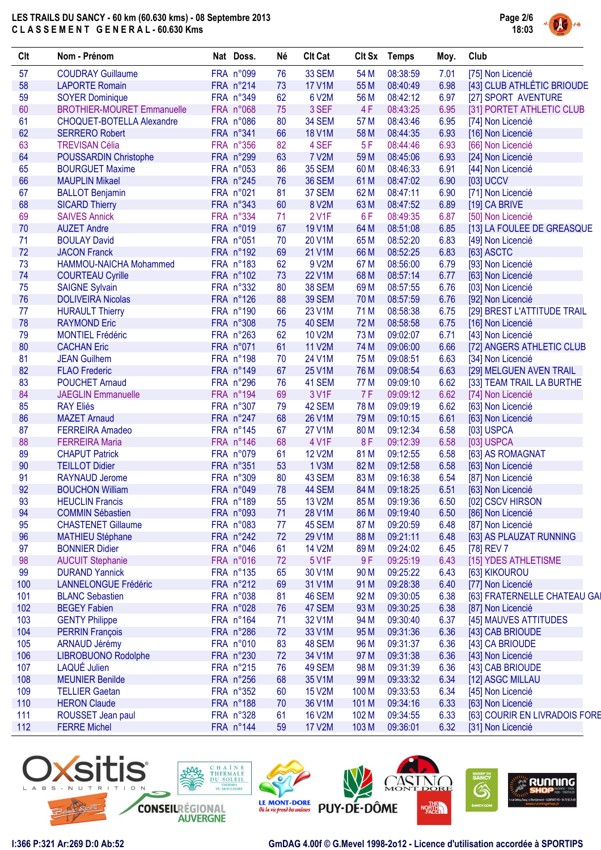

| Clt | Nom - Prénom                             | Nat Doss. | Né | <b>Clt Cat</b>      |       | Clt Sx Temps | Moy. | Club                          |
|-----|------------------------------------------|-----------|----|---------------------|-------|--------------|------|-------------------------------|
| 57  | <b>COUDRAY Guillaume</b>                 | FRA n°099 | 76 | 33 SEM              | 54 M  | 08:38:59     | 7.01 | [75] Non Licencié             |
| 58  | <b>LAPORTE Romain</b>                    | FRA n°214 | 73 | <b>17 V1M</b>       | 55 M  | 08:40:49     | 6.98 | [43] CLUB ATHLÉTIC BRIOUDE    |
| 59  | <b>SOYER Dominique</b>                   | FRA n°349 | 62 | 6 V2M               | 56 M  | 08:42:12     | 6.97 | [27] SPORT AVENTURE           |
| 60  | <b>BROTHIER-MOURET Emmanuelle</b>        | FRA n°068 | 75 | 3 SEF               | 4F    | 08:43:25     | 6.95 | [31] PORTET ATHLETIC CLUB     |
| 61  | CHOQUET-BOTELLA Alexandre                | FRA n°086 | 80 | 34 SEM              | 57 M  | 08:43:46     | 6.95 | [74] Non Licencié             |
| 62  | <b>SERRERO Robert</b>                    | FRA n°341 | 66 | <b>18 V1M</b>       | 58 M  | 08:44:35     | 6.93 | [16] Non Licencié             |
| 63  | <b>TREVISAN Célia</b>                    | FRA n°356 | 82 | 4 SEF               | 5F    | 08:44:46     | 6.93 | [66] Non Licencié             |
| 64  | <b>POUSSARDIN Christophe</b>             | FRA n°299 | 63 | <b>7 V2M</b>        | 59 M  | 08:45:06     | 6.93 | [24] Non Licencié             |
| 65  | <b>BOURGUET Maxime</b>                   | FRA n°053 | 86 | <b>35 SEM</b>       | 60 M  | 08:46:33     | 6.91 | [44] Non Licencié             |
| 66  | <b>MAUPLIN Mikael</b>                    | FRA n°245 | 76 | <b>36 SEM</b>       | 61 M  | 08:47:02     | 6.90 | [03] UCCV                     |
| 67  | <b>BALLOT Benjamin</b>                   | FRA n°021 | 81 | 37 SEM              | 62 M  | 08:47:11     | 6.90 | [71] Non Licencié             |
| 68  | <b>SICARD Thierry</b>                    | FRA n°343 | 60 | 8 V2M               | 63 M  | 08:47:52     | 6.89 | [19] CA BRIVE                 |
| 69  | <b>SAIVES Annick</b>                     | FRA n°334 | 71 | <b>2 V1F</b>        | 6F    | 08:49:35     | 6.87 | [50] Non Licencié             |
| 70  | <b>AUZET Andre</b>                       | FRA n°019 | 67 | <b>19 V1M</b>       | 64 M  | 08:51:08     | 6.85 | [13] LA FOULEE DE GREASQUE    |
| 71  | <b>BOULAY David</b>                      | FRA n°051 | 70 | 20 V1M              | 65 M  | 08:52:20     | 6.83 | [49] Non Licencié             |
| 72  |                                          | FRA n°192 | 69 | 21 V1M              | 66 M  | 08:52:25     |      |                               |
|     | <b>JACON Franck</b>                      |           |    |                     |       |              | 6.83 | [63] ASCTC                    |
| 73  | HAMMOU-NAICHA Mohammed                   | FRA n°183 | 62 | 9 V2M               | 67 M  | 08:56:00     | 6.79 | [93] Non Licencié             |
| 74  | <b>COURTEAU Cyrille</b>                  | FRA n°102 | 73 | 22 V1M              | 68 M  | 08:57:14     | 6.77 | [63] Non Licencié             |
| 75  | <b>SAIGNE Sylvain</b>                    | FRA n°332 | 80 | <b>38 SEM</b>       | 69 M  | 08:57:55     | 6.76 | [03] Non Licencié             |
| 76  | <b>DOLIVEIRA Nicolas</b>                 | FRA n°126 | 88 | <b>39 SEM</b>       | 70 M  | 08:57:59     | 6.76 | [92] Non Licencié             |
| 77  | <b>HURAULT Thierry</b>                   | FRA n°190 | 66 | 23 V1M              | 71 M  | 08:58:38     | 6.75 | [29] BREST L'ATTITUDE TRAIL   |
| 78  | <b>RAYMOND Eric</b>                      | FRA n°308 | 75 | 40 SEM              | 72 M  | 08:58:58     | 6.75 | [16] Non Licencié             |
| 79  | <b>MONTIEL Frédéric</b>                  | FRA n°263 | 62 | <b>10 V2M</b>       | 73 M  | 09:02:07     | 6.71 | [43] Non Licencié             |
| 80  | <b>CACHAN Eric</b>                       | FRA n°071 | 61 | 11 V2M              | 74 M  | 09:06:00     | 6.66 | [72] ANGERS ATHLETIC CLUB     |
| 81  | <b>JEAN Guilhem</b>                      | FRA n°198 | 70 | 24 V1M              | 75 M  | 09:08:51     | 6.63 | [34] Non Licencié             |
| 82  | <b>FLAO Frederic</b>                     | FRA n°149 | 67 | 25 V1M              | 76 M  | 09:08:54     | 6.63 | [29] MELGUEN AVEN TRAIL       |
| 83  | <b>POUCHET Arnaud</b>                    | FRA n°296 | 76 | 41 SEM              | 77 M  | 09:09:10     | 6.62 | [33] TEAM TRAIL LA BURTHE     |
| 84  | <b>JAEGLIN Emmanuelle</b>                | FRA n°194 | 69 | 3 V1F               | 7F    | 09:09:12     | 6.62 | [74] Non Licencié             |
| 85  | <b>RAY Eliés</b>                         | FRA n°307 | 79 | 42 SEM              | 78 M  | 09:09:19     | 6.62 | [63] Non Licencié             |
| 86  | <b>MAZET Arnaud</b>                      | FRA n°247 | 68 | 26 V1M              | 79 M  | 09:10:15     | 6.61 | [63] Non Licencié             |
| 87  | <b>FERREIRA Amadeo</b>                   | FRA n°145 | 67 | <b>27 V1M</b>       | 80 M  | 09:12:34     | 6.58 | [03] USPCA                    |
| 88  | <b>FERREIRA Maria</b>                    | FRA n°146 | 68 | 4 V1F               | 8F    | 09:12:39     | 6.58 | [03] USPCA                    |
| 89  | <b>CHAPUT Patrick</b>                    | FRA n°079 | 61 | <b>12 V2M</b>       | 81 M  | 09:12:55     | 6.58 | [63] AS ROMAGNAT              |
| 90  | <b>TEILLOT Didier</b>                    | FRA n°351 | 53 | 1 V3M               | 82 M  | 09:12:58     | 6.58 | [63] Non Licencié             |
| 91  |                                          | FRA n°309 | 80 | 43 SEM              | 83 M  | 09:16:38     | 6.54 |                               |
| 92  | RAYNAUD Jerome<br><b>BOUCHON William</b> | FRA n°049 | 78 |                     |       |              |      | [87] Non Licencié             |
|     |                                          |           |    | 44 SEM              | 84 M  | 09:18:25     | 6.51 | [63] Non Licencié             |
| 93  | <b>HEUCLIN Francis</b>                   | FRA n°189 | 55 | 13 V <sub>2</sub> M | 85 M  | 09:19:36     | 6.50 | [02] CSCV HIRSON              |
| 94  | <b>COMMIN Sébastien</b>                  | FRA n°093 | 71 | 28 V1M              | 86 M  | 09:19:40     | 6.50 | [86] Non Licencié             |
| 95  | <b>CHASTENET Gillaume</b>                | FRA n°083 | 77 | 45 SEM              | 87 M  | 09:20:59     | 6.48 | [87] Non Licencié             |
| 96  | <b>MATHIEU Stéphane</b>                  | FRA n°242 | 72 | 29 V1M              | 88 M  | 09:21:11     | 6.48 | [63] AS PLAUZAT RUNNING       |
| 97  | <b>BONNIER Didier</b>                    | FRA n°046 | 61 | <b>14 V2M</b>       | 89 M  | 09:24:02     | 6.45 | [78] REV 7                    |
| 98  | <b>AUCUIT Stephanie</b>                  | FRA n°016 | 72 | 5 V1F               | 9F    | 09:25:19     | 6.43 | [15] YDES ATHLETISME          |
| 99  | <b>DURAND Yannick</b>                    | FRA n°135 | 65 | 30 V1M              | 90 M  | 09:25:22     | 6.43 | [63] KIKOUROU                 |
| 100 | <b>LANNELONGUE Frédéric</b>              | FRA n°212 | 69 | 31 V1M              | 91 M  | 09:28:38     | 6.40 | [77] Non Licencié             |
| 101 | <b>BLANC Sebastien</b>                   | FRA n°038 | 81 | 46 SEM              | 92 M  | 09:30:05     | 6.38 | [63] FRATERNELLE CHATEAU GAI  |
| 102 | <b>BEGEY Fabien</b>                      | FRA n°028 | 76 | 47 SEM              | 93 M  | 09:30:25     | 6.38 | [87] Non Licencié             |
| 103 | <b>GENTY Philippe</b>                    | FRA n°164 | 71 | 32 V1M              | 94 M  | 09:30:40     | 6.37 | [45] MAUVES ATTITUDES         |
| 104 | <b>PERRIN François</b>                   | FRA n°286 | 72 | 33 V1M              | 95 M  | 09:31:36     | 6.36 | [43] CAB BRIOUDE              |
| 105 | <b>ARNAUD Jérémy</b>                     | FRA n°010 | 83 | 48 SEM              | 96 M  | 09:31:37     | 6.36 | [43] CA BRIOUDE               |
| 106 | <b>LIBROBUONO Rodolphe</b>               | FRA n°230 | 72 | 34 V1M              | 97 M  | 09:31:38     | 6.36 | [43] Non Licencié             |
| 107 | LAQUÉ Julien                             | FRA n°215 | 76 | 49 SEM              | 98 M  | 09:31:39     | 6.36 | [43] CAB BRIOUDE              |
| 108 | <b>MEUNIER Benilde</b>                   | FRA n°256 | 68 | 35 V1M              | 99 M  | 09:33:32     | 6.34 | [12] ASGC MILLAU              |
| 109 | <b>TELLIER Gaetan</b>                    | FRA n°352 | 60 | <b>15 V2M</b>       | 100 M | 09:33:53     | 6.34 | [45] Non Licencié             |
| 110 | <b>HERON Claude</b>                      | FRA n°188 | 70 | 36 V1M              | 101 M | 09:34:16     | 6.33 | [63] Non Licencié             |
| 111 | ROUSSET Jean paul                        | FRA n°328 | 61 | <b>16 V2M</b>       | 102 M | 09:34:55     | 6.33 | [63] COURIR EN LIVRADOIS FORE |
| 112 | <b>FERRE Michel</b>                      | FRA n°144 | 59 | 17 V2M              | 103 M | 09:36:01     | 6.32 | [31] Non Licencié             |
|     |                                          |           |    |                     |       |              |      |                               |

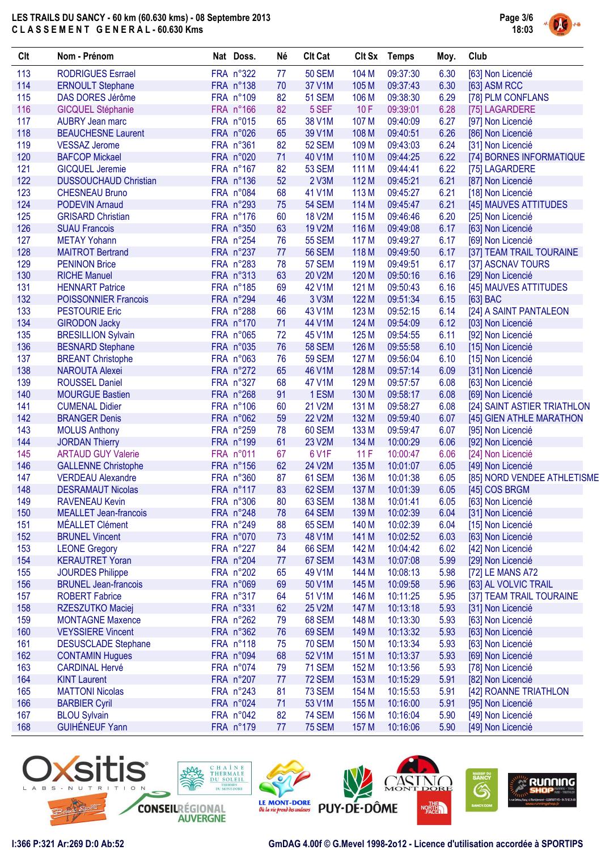

| Clt | Nom - Prénom                 | Nat Doss. | Né | <b>Clt Cat</b> |                  | Clt Sx Temps | Moy. | Club                        |
|-----|------------------------------|-----------|----|----------------|------------------|--------------|------|-----------------------------|
| 113 | <b>RODRIGUES Esrrael</b>     | FRA n°322 | 77 | <b>50 SEM</b>  | 104 M            | 09:37:30     | 6.30 | [63] Non Licencié           |
| 114 | <b>ERNOULT Stephane</b>      | FRA n°138 | 70 | 37 V1M         | 105 M            | 09:37:43     | 6.30 | [63] ASM RCC                |
| 115 | DAS DORES Jérôme             | FRA n°109 | 82 | <b>51 SEM</b>  | 106 M            | 09:38:30     | 6.29 | [78] PLM CONFLANS           |
| 116 | <b>GICQUEL Stéphanie</b>     | FRA n°166 | 82 | 5 SEF          | 10F              | 09:39:01     | 6.28 | [75] LAGARDERE              |
| 117 | <b>AUBRY Jean marc</b>       | FRA n°015 | 65 | 38 V1M         | 107 M            | 09:40:09     | 6.27 | [97] Non Licencié           |
| 118 | <b>BEAUCHESNE Laurent</b>    | FRA n°026 | 65 | 39 V1M         | 108 M            | 09:40:51     | 6.26 | [86] Non Licencié           |
| 119 | <b>VESSAZ Jerome</b>         | FRA n°361 | 82 | <b>52 SEM</b>  | 109 M            | 09:43:03     | 6.24 | [31] Non Licencié           |
| 120 | <b>BAFCOP Mickael</b>        | FRA n°020 | 71 | 40 V1M         | 110 M            | 09:44:25     | 6.22 | [74] BORNES INFORMATIQUE    |
| 121 | <b>GICQUEL Jeremie</b>       | FRA n°167 | 82 | 53 SEM         | 111 M            | 09:44:41     | 6.22 | [75] LAGARDERE              |
| 122 | <b>DUSSOUCHAUD Christian</b> | FRA n°136 | 52 | 2 V3M          | 112 M            | 09:45:21     | 6.21 | [87] Non Licencié           |
| 123 | <b>CHESNEAU Bruno</b>        | FRA n°084 | 68 | 41 V1M         | 113 M            | 09:45:27     | 6.21 | [18] Non Licencié           |
| 124 | <b>PODEVIN Arnaud</b>        | FRA n°293 | 75 | <b>54 SEM</b>  | 114 M            | 09:45:47     | 6.21 | [45] MAUVES ATTITUDES       |
| 125 | <b>GRISARD Christian</b>     | FRA n°176 | 60 | <b>18 V2M</b>  | 115 M            | 09:46:46     | 6.20 | [25] Non Licencié           |
| 126 | <b>SUAU Francois</b>         | FRA n°350 | 63 | <b>19 V2M</b>  | 116 M            | 09:49:08     | 6.17 | [63] Non Licencié           |
| 127 | <b>METAY Yohann</b>          | FRA n°254 | 76 | <b>55 SEM</b>  | 117 M            | 09:49:27     | 6.17 |                             |
|     |                              |           |    |                |                  |              |      | [69] Non Licencié           |
| 128 | <b>MAITROT Bertrand</b>      | FRA n°237 | 77 | <b>56 SEM</b>  | 118 M            | 09:49:50     | 6.17 | [37] TEAM TRAIL TOURAINE    |
| 129 | <b>PENINON Brice</b>         | FRA n°283 | 78 | <b>57 SEM</b>  | 119 <sub>M</sub> | 09:49:51     | 6.17 | [37] ASCNAV TOURS           |
| 130 | <b>RICHE Manuel</b>          | FRA n°313 | 63 | 20 V2M         | 120 M            | 09:50:16     | 6.16 | [29] Non Licencié           |
| 131 | <b>HENNART Patrice</b>       | FRA n°185 | 69 | 42 V1M         | 121 M            | 09:50:43     | 6.16 | [45] MAUVES ATTITUDES       |
| 132 | <b>POISSONNIER Francois</b>  | FRA n°294 | 46 | 3 V3M          | 122 M            | 09:51:34     | 6.15 | [63] BAC                    |
| 133 | <b>PESTOURIE Eric</b>        | FRA n°288 | 66 | 43 V1M         | 123 M            | 09:52:15     | 6.14 | [24] A SAINT PANTALEON      |
| 134 | <b>GIRODON Jacky</b>         | FRA n°170 | 71 | 44 V1M         | 124 M            | 09:54:09     | 6.12 | [03] Non Licencié           |
| 135 | <b>BRESILLION Sylvain</b>    | FRA n°065 | 72 | 45 V1M         | 125 M            | 09:54:55     | 6.11 | [92] Non Licencié           |
| 136 | <b>BESNARD Stephane</b>      | FRA n°035 | 76 | <b>58 SEM</b>  | 126 M            | 09:55:58     | 6.10 | [15] Non Licencié           |
| 137 | <b>BREANT Christophe</b>     | FRA n°063 | 76 | <b>59 SEM</b>  | 127 M            | 09:56:04     | 6.10 | [15] Non Licencié           |
| 138 | <b>NAROUTA Alexei</b>        | FRA n°272 | 65 | 46 V1M         | 128 M            | 09:57:14     | 6.09 | [31] Non Licencié           |
| 139 | <b>ROUSSEL Daniel</b>        | FRA n°327 | 68 | 47 V1M         | 129 M            | 09:57:57     | 6.08 | [63] Non Licencié           |
| 140 | <b>MOURGUE Bastien</b>       | FRA n°268 | 91 | 1 ESM          | 130 M            | 09:58:17     | 6.08 | [69] Non Licencié           |
| 141 | <b>CUMENAL Didier</b>        | FRA n°106 | 60 | 21 V2M         | 131 M            | 09:58:27     | 6.08 | [24] SAINT ASTIER TRIATHLON |
| 142 | <b>BRANGER Denis</b>         | FRA n°062 | 59 | <b>22 V2M</b>  | 132 M            | 09:59:40     | 6.07 | [45] GIEN ATHLE MARATHON    |
| 143 | <b>MOLUS Anthony</b>         | FRA n°259 | 78 | 60 SEM         | 133 M            | 09:59:47     | 6.07 | [95] Non Licencié           |
| 144 | <b>JORDAN Thierry</b>        | FRA n°199 | 61 | 23 V2M         | 134 M            | 10:00:29     | 6.06 | [92] Non Licencié           |
| 145 | <b>ARTAUD GUY Valerie</b>    | FRA n°011 | 67 | 6 V1F          | 11F              | 10:00:47     | 6.06 | [24] Non Licencié           |
| 146 | <b>GALLENNE Christophe</b>   | FRA n°156 | 62 | 24 V2M         | 135 M            | 10:01:07     | 6.05 | [49] Non Licencié           |
| 147 | <b>VERDEAU Alexandre</b>     | FRA n°360 | 87 | 61 SEM         | 136 M            | 10:01:38     | 6.05 | [85] NORD VENDEE ATHLETISME |
| 148 | <b>DESRAMAUT Nicolas</b>     | FRA n°117 | 83 | 62 SEM         | 137 M            | 10:01:39     | 6.05 | [45] COS BRGM               |
|     |                              |           |    |                |                  |              |      | [63] Non Licencié           |
| 149 | RAVENEAU Kevin               | FRA n°306 | 80 | 63 SEM         | 138 M            | 10:01:41     | 6.05 |                             |
| 150 | <b>MEALLET</b> Jean-francois | FRA n°248 | 78 | 64 SEM         | 139 M            | 10:02:39     | 6.04 | [31] Non Licencié           |
| 151 | MÉALLET Clément              | FRA n°249 | 88 | 65 SEM         | 140 M            | 10:02:39     | 6.04 | [15] Non Licencié           |
| 152 | <b>BRUNEL Vincent</b>        | FRA n°070 | 73 | 48 V1M         | 141 M            | 10:02:52     | 6.03 | [63] Non Licencié           |
| 153 | <b>LEONE Gregory</b>         | FRA n°227 | 84 | 66 SEM         | 142 M            | 10:04:42     | 6.02 | [42] Non Licencié           |
| 154 | <b>KERAUTRET Yoran</b>       | FRA n°204 | 77 | 67 SEM         | 143 M            | 10:07:08     | 5.99 | [29] Non Licencié           |
| 155 | <b>JOURDES Philippe</b>      | FRA n°202 | 65 | 49 V1M         | 144 M            | 10:08:13     | 5.98 | [72] LE MANS A72            |
| 156 | <b>BRUNEL Jean-francois</b>  | FRA n°069 | 69 | 50 V1M         | 145 M            | 10:09:58     | 5.96 | [63] AL VOLVIC TRAIL        |
| 157 | <b>ROBERT Fabrice</b>        | FRA n°317 | 64 | 51 V1M         | 146 M            | 10:11:25     | 5.95 | [37] TEAM TRAIL TOURAINE    |
| 158 | RZESZUTKO Maciej             | FRA n°331 | 62 | 25 V2M         | 147 M            | 10:13:18     | 5.93 | [31] Non Licencié           |
| 159 | <b>MONTAGNE Maxence</b>      | FRA n°262 | 79 | 68 SEM         | 148 M            | 10:13:30     | 5.93 | [63] Non Licencié           |
| 160 | <b>VEYSSIERE Vincent</b>     | FRA n°362 | 76 | 69 SEM         | 149 M            | 10:13:32     | 5.93 | [63] Non Licencié           |
| 161 | <b>DESUSCLADE Stephane</b>   | FRA n°118 | 75 | <b>70 SEM</b>  | 150 M            | 10:13:34     | 5.93 | [63] Non Licencié           |
| 162 | <b>CONTAMIN Hugues</b>       | FRA n°094 | 68 | 52 V1M         | 151 M            | 10:13:37     | 5.93 | [69] Non Licencié           |
| 163 | <b>CARDINAL Hervé</b>        | FRA n°074 | 79 | <b>71 SEM</b>  | 152 M            | 10:13:56     | 5.93 | [78] Non Licencié           |
| 164 | <b>KINT Laurent</b>          | FRA n°207 | 77 | <b>72 SEM</b>  | 153 M            | 10:15:29     | 5.91 | [82] Non Licencié           |
| 165 | <b>MATTONI Nicolas</b>       | FRA n°243 | 81 | <b>73 SEM</b>  | 154 M            | 10:15:53     | 5.91 | [42] ROANNE TRIATHLON       |
| 166 | <b>BARBIER Cyril</b>         | FRA n°024 | 71 | 53 V1M         | 155 M            | 10:16:00     | 5.91 | [95] Non Licencié           |
| 167 | <b>BLOU Sylvain</b>          | FRA n°042 | 82 | <b>74 SEM</b>  | 156 M            | 10:16:04     | 5.90 | [49] Non Licencié           |
|     |                              |           |    |                |                  |              |      |                             |
| 168 | <b>GUIHÉNEUF Yann</b>        | FRA n°179 | 77 | <b>75 SEM</b>  | 157 M            | 10:16:06     | 5.90 | [49] Non Licencié           |

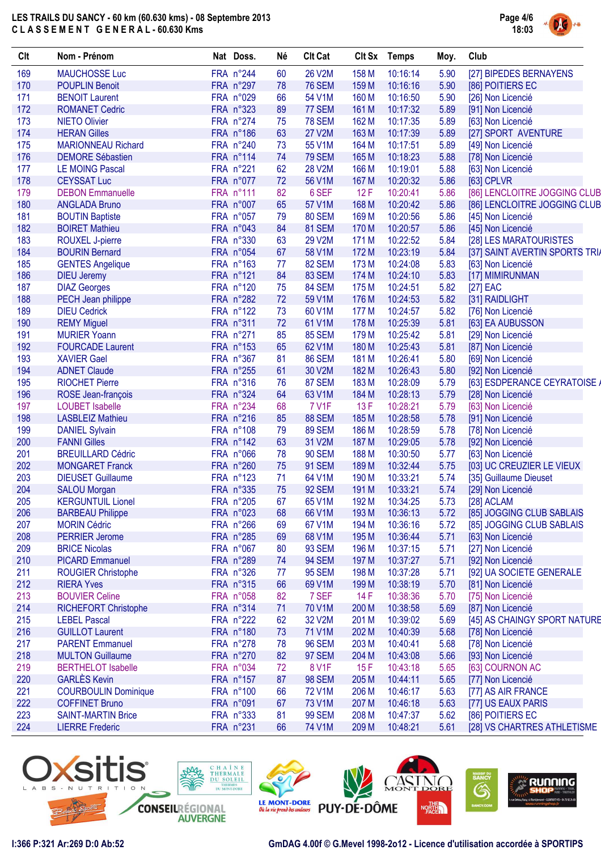

| Clt | Nom - Prénom                | Nat Doss. | Né | <b>Clt Cat</b> | Clt Sx | <b>Temps</b> | Moy. | Club                           |
|-----|-----------------------------|-----------|----|----------------|--------|--------------|------|--------------------------------|
| 169 | <b>MAUCHOSSE Luc</b>        | FRA n°244 | 60 | <b>26 V2M</b>  | 158 M  | 10:16:14     | 5.90 | [27] BIPEDES BERNAYENS         |
| 170 | <b>POUPLIN Benoit</b>       | FRA n°297 | 78 | <b>76 SEM</b>  | 159 M  | 10:16:16     | 5.90 | [86] POITIERS EC               |
| 171 | <b>BENOIT Laurent</b>       | FRA n°029 | 66 | 54 V1M         | 160 M  | 10:16:50     | 5.90 | [26] Non Licencié              |
| 172 | <b>ROMANET Cedric</b>       | FRA n°323 | 89 | 77 SEM         | 161 M  | 10:17:32     | 5.89 | [91] Non Licencié              |
| 173 | <b>NIETO Olivier</b>        | FRA n°274 | 75 | <b>78 SEM</b>  | 162 M  | 10:17:35     | 5.89 | [63] Non Licencié              |
| 174 | <b>HERAN Gilles</b>         | FRA n°186 | 63 | <b>27 V2M</b>  | 163 M  | 10:17:39     | 5.89 | [27] SPORT AVENTURE            |
| 175 | <b>MARIONNEAU Richard</b>   | FRA n°240 | 73 | 55 V1M         | 164 M  | 10:17:51     | 5.89 | [49] Non Licencié              |
| 176 | <b>DEMORE Sébastien</b>     | FRA n°114 | 74 | <b>79 SEM</b>  | 165 M  | 10:18:23     | 5.88 | [78] Non Licencié              |
| 177 | <b>LE MOING Pascal</b>      | FRA n°221 | 62 | <b>28 V2M</b>  | 166 M  | 10:19:01     | 5.88 | [63] Non Licencié              |
| 178 | <b>CEYSSAT Luc</b>          | FRA n°077 | 72 | 56 V1M         | 167 M  | 10:20:32     | 5.86 | [63] CPLVR                     |
| 179 | <b>DEBON Emmanuelle</b>     | FRA n°111 | 82 | 6 SEF          | 12F    | 10:20:41     | 5.86 | [86] LENCLOITRE JOGGING CLUB   |
| 180 | <b>ANGLADA Bruno</b>        | FRA n°007 | 65 | 57 V1M         | 168 M  | 10:20:42     | 5.86 | [86] LENCLOITRE JOGGING CLUB   |
| 181 | <b>BOUTIN Baptiste</b>      | FRA n°057 | 79 | <b>80 SEM</b>  | 169 M  | 10:20:56     | 5.86 | [45] Non Licencié              |
| 182 | <b>BOIRET Mathieu</b>       | FRA n°043 | 84 | <b>81 SEM</b>  | 170 M  | 10:20:57     | 5.86 | [45] Non Licencié              |
| 183 | ROUXEL J-pierre             | FRA n°330 | 63 | 29 V2M         | 171 M  | 10:22:52     | 5.84 | [28] LES MARATOURISTES         |
| 184 | <b>BOURIN Bernard</b>       | FRA n°054 | 67 | 58 V1M         | 172 M  | 10:23:19     | 5.84 | [37] SAINT AVERTIN SPORTS TRIA |
| 185 | <b>GENTES Angelique</b>     | FRA n°163 | 77 | <b>82 SEM</b>  | 173 M  | 10:24:08     | 5.83 | [63] Non Licencié              |
| 186 | <b>DIEU Jeremy</b>          | FRA n°121 | 84 | 83 SEM         | 174 M  | 10:24:10     | 5.83 | [17] MIMIRUNMAN                |
| 187 | <b>DIAZ Georges</b>         | FRA n°120 | 75 | 84 SEM         | 175 M  | 10:24:51     | 5.82 | $[27]$ EAC                     |
| 188 | PECH Jean philippe          | FRA n°282 | 72 | 59 V1M         | 176 M  | 10:24:53     | 5.82 | [31] RAIDLIGHT                 |
| 189 | <b>DIEU Cedrick</b>         | FRA n°122 | 73 | 60 V1M         | 177 M  | 10:24:57     | 5.82 | [76] Non Licencié              |
| 190 | <b>REMY Miguel</b>          | FRA n°311 | 72 | 61 V1M         | 178 M  | 10:25:39     | 5.81 | [63] EA AUBUSSON               |
| 191 | <b>MURIER Yoann</b>         | FRA n°271 | 85 | <b>85 SEM</b>  | 179 M  | 10:25:42     | 5.81 | [29] Non Licencié              |
| 192 | <b>FOURCADE Laurent</b>     | FRA n°153 | 65 | 62 V1M         | 180 M  | 10:25:43     | 5.81 | [87] Non Licencié              |
| 193 | <b>XAVIER Gael</b>          | FRA n°367 | 81 | <b>86 SEM</b>  | 181 M  | 10:26:41     | 5.80 | [69] Non Licencié              |
| 194 | <b>ADNET Claude</b>         | FRA n°255 | 61 | 30 V2M         | 182 M  | 10:26:43     | 5.80 | [92] Non Licencié              |
| 195 | <b>RIOCHET Pierre</b>       | FRA n°316 | 76 | <b>87 SEM</b>  | 183 M  | 10:28:09     | 5.79 | [63] ESDPERANCE CEYRATOISE /   |
| 196 | ROSE Jean-françois          | FRA n°324 | 64 | 63 V1M         | 184 M  | 10:28:13     | 5.79 | [28] Non Licencié              |
| 197 | <b>LOUBET Isabelle</b>      | FRA n°234 | 68 | <b>7 V1F</b>   | 13F    | 10:28:21     | 5.79 | [63] Non Licencié              |
| 198 | <b>LASBLEIZ Mathieu</b>     | FRA n°216 | 85 | <b>88 SEM</b>  | 185 M  | 10:28:58     | 5.78 | [91] Non Licencié              |
| 199 | <b>DANIEL Sylvain</b>       | FRA n°108 | 79 | <b>89 SEM</b>  | 186 M  | 10:28:59     | 5.78 | [78] Non Licencié              |
| 200 | <b>FANNI Gilles</b>         | FRA n°142 | 63 | 31 V2M         | 187 M  | 10:29:05     | 5.78 | [92] Non Licencié              |
| 201 | <b>BREUILLARD Cédric</b>    | FRA n°066 | 78 | <b>90 SEM</b>  | 188 M  | 10:30:50     | 5.77 | [63] Non Licencié              |
| 202 | <b>MONGARET Franck</b>      | FRA n°260 | 75 | <b>91 SEM</b>  | 189 M  | 10:32:44     | 5.75 | [03] UC CREUZIER LE VIEUX      |
| 203 | <b>DIEUSET Guillaume</b>    | FRA n°123 | 71 | 64 V1M         | 190 M  | 10:33:21     | 5.74 | [35] Guillaume Dieuset         |
| 204 | <b>SALOU Morgan</b>         | FRA n°335 | 75 | <b>92 SEM</b>  | 191 M  | 10:33:21     | 5.74 | [29] Non Licencié              |
| 205 | <b>KERGUNTUIL Lionel</b>    | FRA n°205 | 67 | 65 V1M         | 192 M  | 10:34:25     | 5.73 | [28] ACLAM                     |
| 206 | <b>BARBEAU Philippe</b>     | FRA n°023 | 68 | 66 V1M         | 193 M  | 10:36:13     | 5.72 | [85] JOGGING CLUB SABLAIS      |
| 207 | <b>MORIN Cédric</b>         | FRA n°266 | 69 | 67 V1M         | 194 M  | 10:36:16     | 5.72 | [85] JOGGING CLUB SABLAIS      |
| 208 | <b>PERRIER Jerome</b>       | FRA n°285 | 69 | 68 V1M         | 195 M  | 10:36:44     | 5.71 | [63] Non Licencié              |
| 209 | <b>BRICE Nicolas</b>        | FRA n°067 | 80 | <b>93 SEM</b>  | 196 M  | 10:37:15     | 5.71 | [27] Non Licencié              |
| 210 | <b>PICARD Emmanuel</b>      | FRA n°289 | 74 | <b>94 SEM</b>  | 197 M  | 10:37:27     | 5.71 | [92] Non Licencié              |
| 211 | <b>ROUGIER Christophe</b>   | FRA n°326 | 77 | <b>95 SEM</b>  | 198 M  | 10:37:28     | 5.71 | [92] UA SOCIETE GENERALE       |
| 212 | <b>RIERA Yves</b>           | FRA n°315 | 66 | 69 V1M         | 199 M  | 10:38:19     | 5.70 | [81] Non Licencié              |
| 213 | <b>BOUVIER Celine</b>       | FRA n°058 | 82 | 7 SEF          | 14F    | 10:38:36     | 5.70 | [75] Non Licencié              |
| 214 | <b>RICHEFORT Christophe</b> | FRA n°314 | 71 | 70 V1M         | 200 M  | 10:38:58     | 5.69 | [87] Non Licencié              |
| 215 | <b>LEBEL Pascal</b>         | FRA n°222 | 62 | 32 V2M         | 201 M  | 10:39:02     | 5.69 | [45] AS CHAINGY SPORT NATURE   |
| 216 | <b>GUILLOT Laurent</b>      | FRA n°180 | 73 | 71 V1M         | 202 M  | 10:40:39     | 5.68 | [78] Non Licencié              |
| 217 | <b>PARENT Emmanuel</b>      | FRA n°278 | 78 | <b>96 SEM</b>  | 203 M  | 10:40:41     | 5.68 | [78] Non Licencié              |
| 218 | <b>MULTON Guillaume</b>     | FRA n°270 | 82 | <b>97 SEM</b>  | 204 M  | 10:43:08     | 5.66 | [93] Non Licencié              |
| 219 | <b>BERTHELOT Isabelle</b>   | FRA n°034 | 72 | 8 V1F          | 15F    | 10:43:18     | 5.65 | [63] COURNON AC                |
| 220 | <b>GARLÈS Kevin</b>         | FRA n°157 | 87 | <b>98 SEM</b>  | 205 M  | 10:44:11     | 5.65 | [77] Non Licencié              |
| 221 | <b>COURBOULIN Dominique</b> | FRA n°100 | 66 | <b>72 V1M</b>  | 206 M  | 10:46:17     | 5.63 | [77] AS AIR FRANCE             |
| 222 | <b>COFFINET Bruno</b>       | FRA n°091 | 67 | 73 V1M         | 207 M  | 10:46:18     | 5.63 | [77] US EAUX PARIS             |
| 223 | <b>SAINT-MARTIN Brice</b>   | FRA n°333 | 81 | <b>99 SEM</b>  | 208 M  |              |      |                                |
| 224 |                             | FRA n°231 | 66 | 74 V1M         |        | 10:47:37     | 5.62 | [86] POITIERS EC               |
|     | <b>LIERRE Frederic</b>      |           |    |                | 209 M  | 10:48:21     | 5.61 | [28] VS CHARTRES ATHLETISME    |

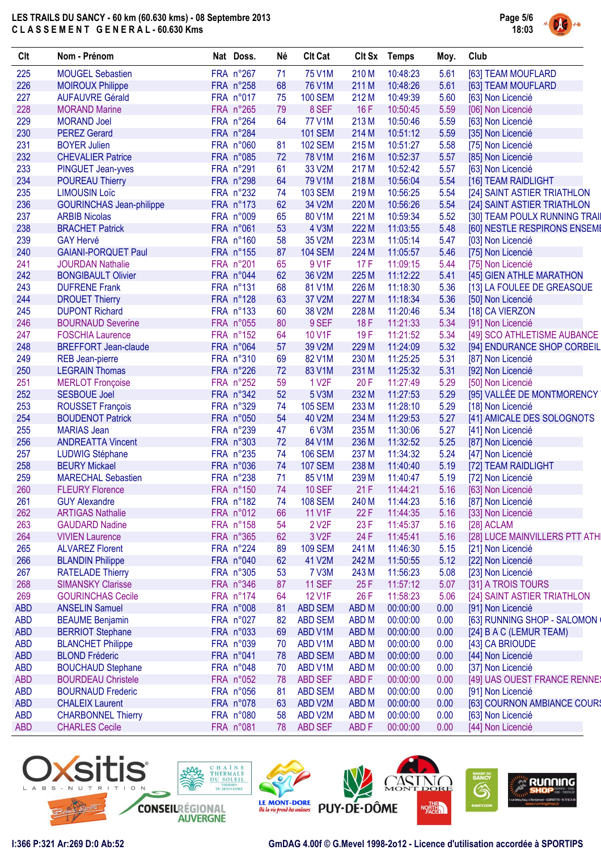

| Clt        | Nom - Prénom                    | Nat Doss. | Né | <b>Clt Cat</b>     | Clt Sx           | <b>Temps</b> | Moy. | Club                          |
|------------|---------------------------------|-----------|----|--------------------|------------------|--------------|------|-------------------------------|
| 225        | <b>MOUGEL Sebastien</b>         | FRA n°267 | 71 | 75 V1M             | 210 M            | 10:48:23     | 5.61 | [63] TEAM MOUFLARD            |
| 226        | <b>MOIROUX Philippe</b>         | FRA n°258 | 68 | <b>76 V1M</b>      | 211 M            | 10:48:26     | 5.61 | [63] TEAM MOUFLARD            |
| 227        | <b>AUFAUVRE Gérald</b>          | FRA n°017 | 75 | <b>100 SEM</b>     | 212 M            | 10:49:39     | 5.60 | [63] Non Licencié             |
| 228        | <b>MORAND Marine</b>            | FRA n°265 | 79 | 8 SEF              | 16F              | 10:50:45     | 5.59 | [06] Non Licencié             |
| 229        | <b>MORAND Joel</b>              | FRA n°264 | 64 | <b>77 V1M</b>      | 213 M            | 10:50:46     | 5.59 | [63] Non Licencié             |
| 230        | <b>PEREZ Gerard</b>             | FRA n°284 |    | <b>101 SEM</b>     | 214 M            | 10:51:12     | 5.59 | [35] Non Licencié             |
| 231        | <b>BOYER Julien</b>             | FRA n°060 | 81 | <b>102 SEM</b>     | 215 M            | 10:51:27     | 5.58 | [75] Non Licencié             |
| 232        | <b>CHEVALIER Patrice</b>        | FRA n°085 | 72 | <b>78 V1M</b>      | 216 M            | 10:52:37     | 5.57 | [85] Non Licencié             |
| 233        | PINGUET Jean-yves               | FRA n°291 | 61 | 33 V2M             | 217 M            | 10:52:42     | 5.57 | [63] Non Licencié             |
| 234        | <b>POUREAU Thierry</b>          | FRA n°298 | 64 | 79 V1M             | 218 M            | 10:56:04     | 5.54 | [16] TEAM RAIDLIGHT           |
| 235        | <b>LIMOUSIN Loïc</b>            | FRA n°232 | 74 | <b>103 SEM</b>     | 219 M            | 10:56:25     | 5.54 | [24] SAINT ASTIER TRIATHLON   |
| 236        | <b>GOURINCHAS Jean-philippe</b> | FRA n°173 | 62 | 34 V2M             | 220 M            | 10:56:26     | 5.54 | [24] SAINT ASTIER TRIATHLON   |
| 237        | <b>ARBIB Nicolas</b>            | FRA n°009 | 65 | 80 V1M             | 221 M            | 10:59:34     | 5.52 | [30] TEAM POULX RUNNING TRAIL |
| 238        | <b>BRACHET Patrick</b>          | FRA n°061 | 53 | 4 V3M              | 222 M            | 11:03:55     | 5.48 | [60] NESTLE RESPIRONS ENSEME  |
| 239        | <b>GAY Hervé</b>                | FRA n°160 | 58 | 35 V2M             | 223 M            | 11:05:14     | 5.47 | [03] Non Licencié             |
| 240        | <b>GAIANI-PORQUET Paul</b>      | FRA n°155 | 87 | <b>104 SEM</b>     | 224 M            | 11:05:57     | 5.46 | [75] Non Licencié             |
| 241        | <b>JOURDAN Nathalie</b>         | FRA n°201 | 65 | 9 V1F              | 17F              | 11:09:15     | 5.44 |                               |
| 242        |                                 | FRA n°044 |    | 36 V2M             | 225 M            | 11:12:22     |      | [75] Non Licencié             |
|            | <b>BONGIBAULT Olivier</b>       |           | 62 |                    |                  |              | 5.41 | [45] GIEN ATHLE MARATHON      |
| 243        | <b>DUFRENE Frank</b>            | FRA n°131 | 68 | 81 V1M             | 226 M            | 11:18:30     | 5.36 | [13] LA FOULEE DE GREASQUE    |
| 244        | <b>DROUET Thierry</b>           | FRA n°128 | 63 | 37 V2M             | 227 M            | 11:18:34     | 5.36 | [50] Non Licencié             |
| 245        | <b>DUPONT Richard</b>           | FRA n°133 | 60 | 38 V2M             | 228 M            | 11:20:46     | 5.34 | [18] CA VIERZON               |
| 246        | <b>BOURNAUD Severine</b>        | FRA n°055 | 80 | 9 SEF              | 18 F             | 11:21:33     | 5.34 | [91] Non Licencié             |
| 247        | <b>FOSCHIA Laurence</b>         | FRA n°152 | 64 | 10 V1F             | 19F              | 11:21:52     | 5.34 | [49] SCO ATHLETISME AUBANCE   |
| 248        | <b>BREFFORT Jean-claude</b>     | FRA n°064 | 57 | 39 V2M             | 229 M            | 11:24:09     | 5.32 | [94] ENDURANCE SHOP CORBEIL   |
| 249        | <b>REB Jean-pierre</b>          | FRA n°310 | 69 | 82 V1M             | 230 M            | 11:25:25     | 5.31 | [87] Non Licencié             |
| 250        | <b>LEGRAIN Thomas</b>           | FRA n°226 | 72 | 83 V1M             | 231 M            | 11:25:32     | 5.31 | [92] Non Licencié             |
| 251        | <b>MERLOT</b> Fronçoise         | FRA n°252 | 59 | 1 V <sub>2</sub> F | 20F              | 11:27:49     | 5.29 | [50] Non Licencié             |
| 252        | <b>SESBOUE Joel</b>             | FRA n°342 | 52 | 5 V3M              | 232 M            | 11:27:53     | 5.29 | [95] VALLÉE DE MONTMORENCY    |
| 253        | <b>ROUSSET François</b>         | FRA n°329 | 74 | <b>105 SEM</b>     | 233 M            | 11:28:10     | 5.29 | [18] Non Licencié             |
| 254        | <b>BOUDENOT Patrick</b>         | FRA n°050 | 54 | 40 V2M             | 234 M            | 11:29:53     | 5.27 | [41] AMICALE DES SOLOGNOTS    |
| 255        | <b>MARIAS Jean</b>              | FRA n°239 | 47 | 6 V3M              | 235 M            | 11:30:06     | 5.27 | [41] Non Licencié             |
| 256        | <b>ANDREATTA Vincent</b>        | FRA n°303 | 72 | 84 V1M             | 236 M            | 11:32:52     | 5.25 | [87] Non Licencié             |
| 257        | <b>LUDWIG Stéphane</b>          | FRA n°235 | 74 | <b>106 SEM</b>     | 237 M            | 11:34:32     | 5.24 | [47] Non Licencié             |
| 258        | <b>BEURY Mickael</b>            | FRA n°036 | 74 | <b>107 SEM</b>     | 238 M            | 11:40:40     | 5.19 | [72] TEAM RAIDLIGHT           |
| 259        | <b>MARECHAL Sebastien</b>       | FRA n°238 | 71 | 85 V1M             | 239 M            | 11:40:47     | 5.19 | [72] Non Licencié             |
| 260        | <b>FLEURY Florence</b>          | FRA n°150 | 74 | <b>10 SEF</b>      | 21F              | 11:44:21     | 5.16 | [63] Non Licencié             |
| 261        | <b>GUY Alexandre</b>            | FRA n°182 | 74 | <b>108 SEM</b>     | 240 M            | 11:44:23     | 5.16 | [87] Non Licencié             |
| 262        | <b>ARTIGAS Nathalie</b>         | FRA n°012 | 66 | <b>11 V1F</b>      | 22F              | 11:44:35     | 5.16 | [33] Non Licencié             |
| 263        | <b>GAUDARD Nadine</b>           | FRA n°158 | 54 | 2 V <sub>2</sub> F | 23 F             | 11:45:37     | 5.16 | [28] ACLAM                    |
| 264        | <b>VIVIEN Laurence</b>          | FRA n°365 | 62 | 3 V <sub>2</sub> F | 24 F             | 11:45:41     | 5.16 | [28] LUCE MAINVILLERS PTT ATH |
| 265        | <b>ALVAREZ Florent</b>          | FRA n°224 | 89 | <b>109 SEM</b>     | 241 M            | 11:46:30     | 5.15 | [21] Non Licencié             |
| 266        | <b>BLANDIN Philippe</b>         | FRA n°040 | 62 | 41 V2M             | 242 M            | 11:50:55     | 5.12 | [22] Non Licencié             |
| 267        | <b>RATELADE Thierry</b>         | FRA n°305 | 53 | <b>7 V3M</b>       | 243 M            | 11:56:23     | 5.08 | [23] Non Licencié             |
| 268        | <b>SIMANSKY Clarisse</b>        | FRA n°346 | 87 | <b>11 SEF</b>      | 25F              | 11:57:12     | 5.07 | [31] A TROIS TOURS            |
| 269        | <b>GOURINCHAS Cecile</b>        | FRA n°174 | 64 | 12 V1F             | 26 F             | 11:58:23     | 5.06 | [24] SAINT ASTIER TRIATHLON   |
| <b>ABD</b> | <b>ANSELIN Samuel</b>           | FRA n°008 | 81 | <b>ABD SEM</b>     | ABD <sub>M</sub> | 00:00:00     | 0.00 | [91] Non Licencié             |
|            |                                 | FRA n°027 |    | <b>ABD SEM</b>     |                  | 00:00:00     | 0.00 |                               |
| <b>ABD</b> | <b>BEAUME Benjamin</b>          |           | 82 |                    | ABD <sub>M</sub> |              |      | [63] RUNNING SHOP - SALOMON   |
| <b>ABD</b> | <b>BERRIOT Stephane</b>         | FRA n°033 | 69 | ABD V1M            | ABD <sub>M</sub> | 00:00:00     | 0.00 | [24] B A C (LEMUR TEAM)       |
| <b>ABD</b> | <b>BLANCHET Philippe</b>        | FRA n°039 | 70 | ABD V1M            | <b>ABDM</b>      | 00:00:00     | 0.00 | [43] CA BRIOUDE               |
| <b>ABD</b> | <b>BLOND Fréderic</b>           | FRA n°041 | 78 | <b>ABD SEM</b>     | ABD <sub>M</sub> | 00:00:00     | 0.00 | [44] Non Licencié             |
| <b>ABD</b> | <b>BOUCHAUD Stephane</b>        | FRA n°048 | 70 | ABD V1M            | ABD <sub>M</sub> | 00:00:00     | 0.00 | [37] Non Licencié             |
| <b>ABD</b> | <b>BOURDEAU Christele</b>       | FRA n°052 | 78 | <b>ABD SEF</b>     | ABD <sub>F</sub> | 00:00:00     | 0.00 | [49] UAS OUEST FRANCE RENNES  |
| <b>ABD</b> | <b>BOURNAUD Frederic</b>        | FRA n°056 | 81 | <b>ABD SEM</b>     | ABD <sub>M</sub> | 00:00:00     | 0.00 | [91] Non Licencié             |
| <b>ABD</b> | <b>CHALEIX Laurent</b>          | FRA n°078 | 63 | ABD V2M            | ABD <sub>M</sub> | 00:00:00     | 0.00 | [63] COURNON AMBIANCE COURS   |
| <b>ABD</b> | <b>CHARBONNEL Thierry</b>       | FRA n°080 | 58 | ABD V2M            | <b>ABDM</b>      | 00:00:00     | 0.00 | [63] Non Licencié             |
| <b>ABD</b> | <b>CHARLES Cecile</b>           | FRA n°081 | 78 | <b>ABD SEF</b>     | ABD <sub>F</sub> | 00:00:00     | 0.00 | [44] Non Licencié             |